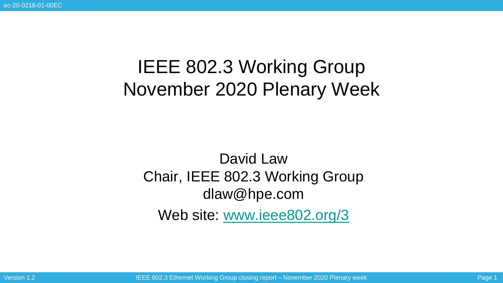# IEEE 802.3 Working Group November 2020 Plenary Week

### David Law Chair, IEEE 802.3 Working Group dlaw@hpe.com Web site: [www.ieee802.org/3](http://www.ieee802.org/3)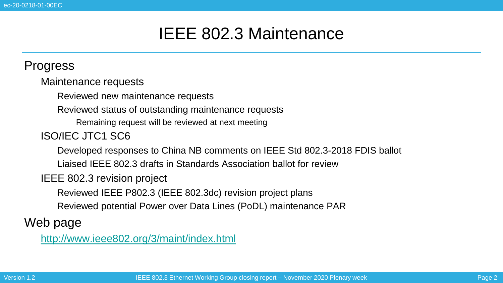### IEEE 802.3 Maintenance

#### **Progress**

• Maintenance requests

Reviewed new maintenance requests

• Reviewed status of outstanding maintenance requests

• Remaining request will be reviewed at next meeting

#### • ISO/IEC JTC1 SC6

• Developed responses to China NB comments on IEEE Std 802.3-2018 FDIS ballot

• Liaised IEEE 802.3 drafts in Standards Association ballot for review

**IEEE 802.3 revision project** 

• Reviewed IEEE P802.3 (IEEE 802.3dc) revision project plans

• Reviewed potential Power over Data Lines (PoDL) maintenance PAR

#### Web page

• <http://www.ieee802.org/3/maint/index.html>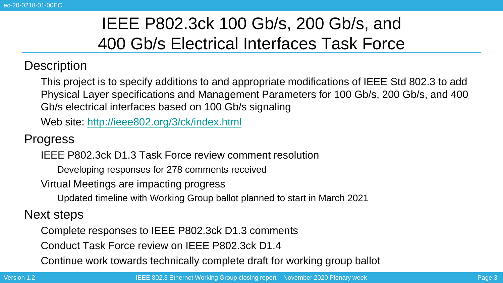# IEEE P802.3ck 100 Gb/s, 200 Gb/s, and 400 Gb/s Electrical Interfaces Task Force

#### **Description**

• This project is to specify additions to and appropriate modifications of IEEE Std 802.3 to add Physical Layer specifications and Management Parameters for 100 Gb/s, 200 Gb/s, and 400 Gb/s electrical interfaces based on 100 Gb/s signaling

• Web site: <http://ieee802.org/3/ck/index.html>

**Progress** 

• IEEE P802.3ck D1.3 Task Force review comment resolution

• Developing responses for 278 comments received

• Virtual Meetings are impacting progress

• Updated timeline with Working Group ballot planned to start in March 2021

Next steps

• Complete responses to IEEE P802.3ck D1.3 comments

• Conduct Task Force review on IEEE P802.3ck D1.4

• Continue work towards technically complete draft for working group ballot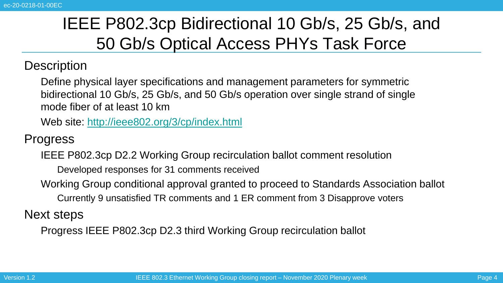# IEEE P802.3cp Bidirectional 10 Gb/s, 25 Gb/s, and 50 Gb/s Optical Access PHYs Task Force

#### **Description**

• Define physical layer specifications and management parameters for symmetric bidirectional 10 Gb/s, 25 Gb/s, and 50 Gb/s operation over single strand of single mode fiber of at least 10 km

• Web site: <http://ieee802.org/3/cp/index.html>

**Progress** 

IEEE P802.3cp D2.2 Working Group recirculation ballot comment resolution

• Developed responses for 31 comments received

• Working Group conditional approval granted to proceed to Standards Association ballot • Currently 9 unsatisfied TR comments and 1 ER comment from 3 Disapprove voters

Next steps

• Progress IEEE P802.3cp D2.3 third Working Group recirculation ballot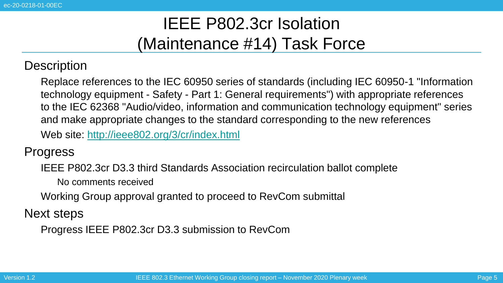## IEEE P802.3cr Isolation (Maintenance #14) Task Force

**Description** 

• Replace references to the IEC 60950 series of standards (including IEC 60950-1 "Information technology equipment - Safety - Part 1: General requirements") with appropriate references to the IEC 62368 "Audio/video, information and communication technology equipment" series and make appropriate changes to the standard corresponding to the new references • Web site: <http://ieee802.org/3/cr/index.html>

**Progress** 

• IEEE P802.3cr D3.3 third Standards Association recirculation ballot complete

• No comments received

• Working Group approval granted to proceed to RevCom submittal

Next steps

• Progress IEEE P802.3cr D3.3 submission to RevCom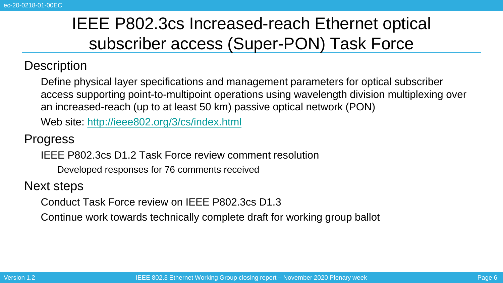# IEEE P802.3cs Increased-reach Ethernet optical subscriber access (Super-PON) Task Force

#### **Description**

• Define physical layer specifications and management parameters for optical subscriber access supporting point-to-multipoint operations using wavelength division multiplexing over an increased-reach (up to at least 50 km) passive optical network (PON)

• Web site: <http://ieee802.org/3/cs/index.html>

**Progress** 

• IEEE P802.3cs D1.2 Task Force review comment resolution

• Developed responses for 76 comments received

Next steps

• Conduct Task Force review on IEEE P802.3cs D1.3

• Continue work towards technically complete draft for working group ballot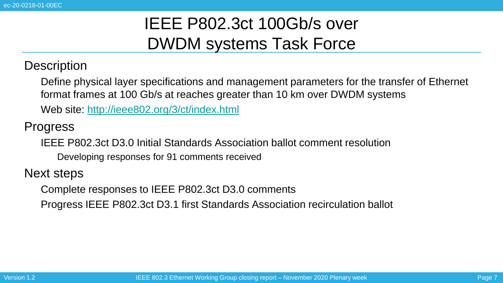### IEEE P802.3ct 100Gb/s over DWDM systems Task Force

**Description** 

• Define physical layer specifications and management parameters for the transfer of Ethernet format frames at 100 Gb/s at reaches greater than 10 km over DWDM systems

• Web site: <http://ieee802.org/3/ct/index.html>

**Progress** 

• IEEE P802.3ct D3.0 Initial Standards Association ballot comment resolution

• Developing responses for 91 comments received

Next steps

• Complete responses to IEEE P802.3ct D3.0 comments

• Progress IEEE P802.3ct D3.1 first Standards Association recirculation ballot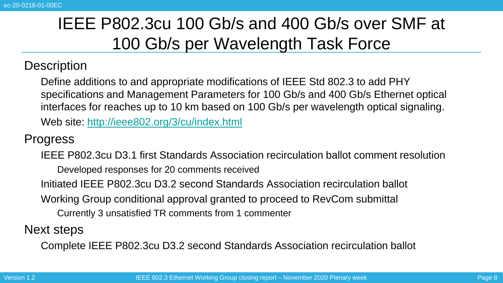# IEEE P802.3cu 100 Gb/s and 400 Gb/s over SMF at 100 Gb/s per Wavelength Task Force

#### **Description**

• Define additions to and appropriate modifications of IEEE Std 802.3 to add PHY specifications and Management Parameters for 100 Gb/s and 400 Gb/s Ethernet optical interfaces for reaches up to 10 km based on 100 Gb/s per wavelength optical signaling. • Web site: <http://ieee802.org/3/cu/index.html>

#### **Progress**

• IEEE P802.3cu D3.1 first Standards Association recirculation ballot comment resolution • Developed responses for 20 comments received • Initiated IEEE P802.3cu D3.2 second Standards Association recirculation ballot • Working Group conditional approval granted to proceed to RevCom submittal • Currently 3 unsatisfied TR comments from 1 commenter

Next steps

• Complete IEEE P802.3cu D3.2 second Standards Association recirculation ballot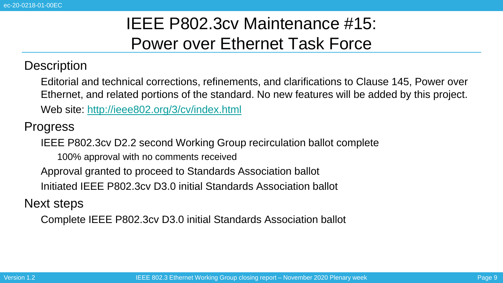### IEEE P802.3cv Maintenance #15: Power over Ethernet Task Force

**Description** 

• Editorial and technical corrections, refinements, and clarifications to Clause 145, Power over Ethernet, and related portions of the standard. No new features will be added by this project.

• Web site: <http://ieee802.org/3/cv/index.html>

**Progress** 

• IEEE P802.3cv D2.2 second Working Group recirculation ballot complete

• 100% approval with no comments received

• Approval granted to proceed to Standards Association ballot

• Initiated IEEE P802.3cv D3.0 initial Standards Association ballot

Next steps

• Complete IEEE P802.3cv D3.0 initial Standards Association ballot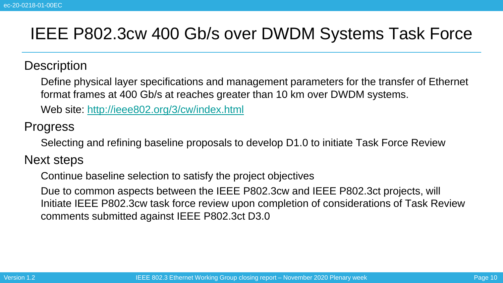### IEEE P802.3cw 400 Gb/s over DWDM Systems Task Force

#### **Description**

• Define physical layer specifications and management parameters for the transfer of Ethernet format frames at 400 Gb/s at reaches greater than 10 km over DWDM systems.

• Web site: <http://ieee802.org/3/cw/index.html>

#### **Progress**

• Selecting and refining baseline proposals to develop D1.0 to initiate Task Force Review

Next steps

• Continue baseline selection to satisfy the project objectives

• Due to common aspects between the IEEE P802.3cw and IEEE P802.3ct projects, will Initiate IEEE P802.3cw task force review upon completion of considerations of Task Review comments submitted against IEEE P802.3ct D3.0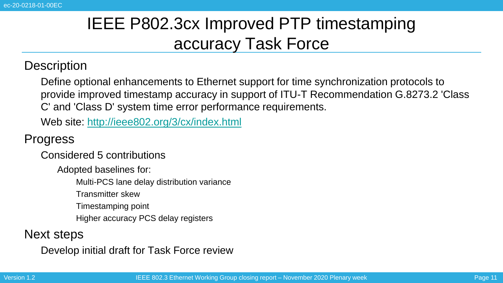# IEEE P802.3cx Improved PTP timestamping accuracy Task Force

#### **Description**

• Define optional enhancements to Ethernet support for time synchronization protocols to provide improved timestamp accuracy in support of ITU-T Recommendation G.8273.2 'Class C' and 'Class D' system time error performance requirements.

• Web site: <http://ieee802.org/3/cx/index.html>

#### **Progress**

• Considered 5 contributions

• Adopted baselines for:

• Multi-PCS lane delay distribution variance

• Transmitter skew

• Timestamping point

• Higher accuracy PCS delay registers

#### Next steps

• Develop initial draft for Task Force review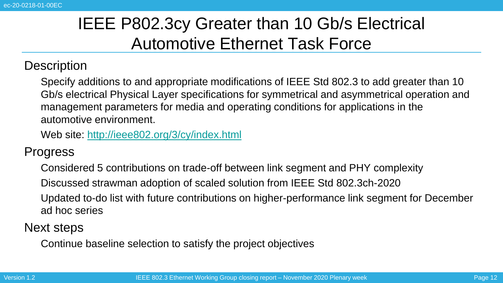# IEEE P802.3cy Greater than 10 Gb/s Electrical Automotive Ethernet Task Force

**Description** 

• Specify additions to and appropriate modifications of IEEE Std 802.3 to add greater than 10 Gb/s electrical Physical Layer specifications for symmetrical and asymmetrical operation and management parameters for media and operating conditions for applications in the automotive environment.

• Web site: <http://ieee802.org/3/cy/index.html>

**Progress** 

• Considered 5 contributions on trade-off between link segment and PHY complexity

• Discussed strawman adoption of scaled solution from IEEE Std 802.3ch-2020

• Updated to-do list with future contributions on higher-performance link segment for December ad hoc series

Next steps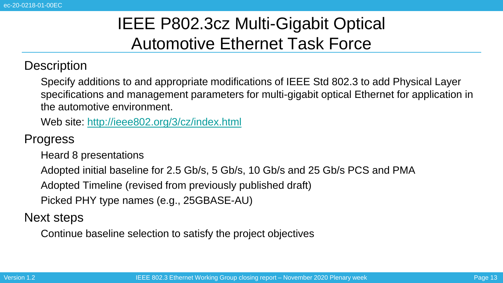# IEEE P802.3cz Multi-Gigabit Optical Automotive Ethernet Task Force

#### **Description**

• Specify additions to and appropriate modifications of IEEE Std 802.3 to add Physical Layer specifications and management parameters for multi-gigabit optical Ethernet for application in the automotive environment.

• Web site: <http://ieee802.org/3/cz/index.html>

### **Progress**

• Heard 8 presentations

• Adopted initial baseline for 2.5 Gb/s, 5 Gb/s, 10 Gb/s and 25 Gb/s PCS and PMA

• Adopted Timeline (revised from previously published draft)

• Picked PHY type names (e.g., 25GBASE-AU)

Next steps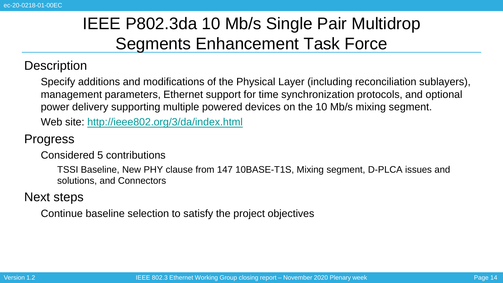# IEEE P802.3da 10 Mb/s Single Pair Multidrop Segments Enhancement Task Force

#### **Description**

• Specify additions and modifications of the Physical Layer (including reconciliation sublayers), management parameters, Ethernet support for time synchronization protocols, and optional power delivery supporting multiple powered devices on the 10 Mb/s mixing segment.

• Web site: <http://ieee802.org/3/da/index.html>

#### **Progress**

• Considered 5 contributions

• TSSI Baseline, New PHY clause from 147 10BASE-T1S, Mixing segment, D-PLCA issues and solutions, and Connectors

#### Next steps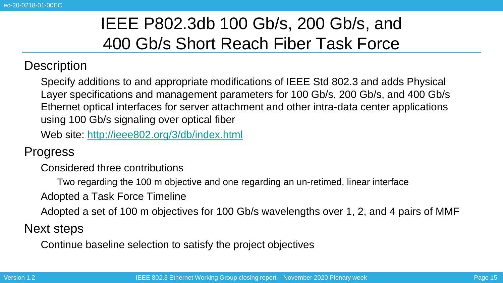## IEEE P802.3db 100 Gb/s, 200 Gb/s, and 400 Gb/s Short Reach Fiber Task Force

#### **Description**

• Specify additions to and appropriate modifications of IEEE Std 802.3 and adds Physical Layer specifications and management parameters for 100 Gb/s, 200 Gb/s, and 400 Gb/s Ethernet optical interfaces for server attachment and other intra-data center applications using 100 Gb/s signaling over optical fiber

• Web site: <http://ieee802.org/3/db/index.html>

**Progress** 

• Considered three contributions

• Two regarding the 100 m objective and one regarding an un-retimed, linear interface

• Adopted a Task Force Timeline

• Adopted a set of 100 m objectives for 100 Gb/s wavelengths over 1, 2, and 4 pairs of MMF

Next steps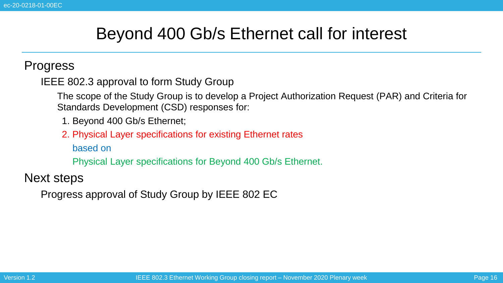### Beyond 400 Gb/s Ethernet call for interest

#### **Progress**

IEEE 802.3 approval to form Study Group

• The scope of the Study Group is to develop a Project Authorization Request (PAR) and Criteria for Standards Development (CSD) responses for:

- 1. Beyond 400 Gb/s Ethernet;
- 2. 2. Physical Layer specifications for existing Ethernet rates

based on

4. Physical Layer specifications for Beyond 400 Gb/s Ethernet.

Next steps

• Progress approval of Study Group by IEEE 802 EC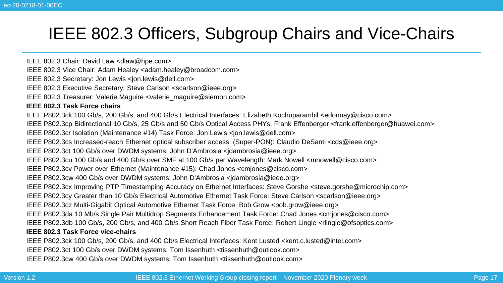### IEEE 802.3 Officers, Subgroup Chairs and Vice-Chairs

IEEE 802.3 Chair: David Law <dlaw@hpe.com>

IEEE 802.3 Vice Chair: Adam Healey <adam.healey@broadcom.com>

IEEE 802.3 Secretary: Jon Lewis <jon.lewis@dell.com>

IEEE 802.3 Executive Secretary: Steve Carlson <scarlson@ieee.org>

IEEE 802.3 Treasurer: Valerie Maguire <valerie\_maguire@siemon.com>

**IEEE 802.3 Task Force chairs**

IEEE P802.3ck 100 Gb/s, 200 Gb/s, and 400 Gb/s Electrical Interfaces: Elizabeth Kochuparambil <edonnay@cisco.com>

IEEE P802.3cp Bidirectional 10 Gb/s, 25 Gb/s and 50 Gb/s Optical Access PHYs: Frank Effenberger <frank.effenberger@huawei.com>

IEEE P802.3cr Isolation (Maintenance #14) Task Force: Jon Lewis <jon.lewis@dell.com>

IEEE P802.3cs Increased-reach Ethernet optical subscriber access: (Super-PON): Claudio DeSanti <cds@ieee.org>

IEEE P802.3ct 100 Gb/s over DWDM systems: John D'Ambrosia <jdambrosia@ieee.org>

IEEE P802.3cu 100 Gb/s and 400 Gb/s over SMF at 100 Gb/s per Wavelength: Mark Nowell <mnowell@cisco.com>

IEEE P802.3cv Power over Ethernet (Maintenance #15): Chad Jones <cmjones@cisco.com>

• IEEE P802.3cw 400 Gb/s over DWDM systems: John D'Ambrosia <jdambrosia@ieee.org>

IEEE P802.3cx Improving PTP Timestamping Accuracy on Ethernet Interfaces: Steve Gorshe <steve.gorshe@microchip.com>

IEEE P802.3cy Greater than 10 Gb/s Electrical Automotive Ethernet Task Force: Steve Carlson <scarlson@ieee.org>

IEEE P802.3cz Multi-Gigabit Optical Automotive Ethernet Task Force: Bob Grow <bob.grow@ieee.org>

IEEE P802.3da 10 Mb/s Single Pair Multidrop Segments Enhancement Task Force: Chad Jones <cmjones@cisco.com>

IEEE P802.3db 100 Gb/s, 200 Gb/s, and 400 Gb/s Short Reach Fiber Task Force: Robert Lingle <rlingle@ofsoptics.com>

#### **IEEE 802.3 Task Force vice-chairs**

• IEEE P802.3ck 100 Gb/s, 200 Gb/s, and 400 Gb/s Electrical Interfaces: Kent Lusted <kent.c.lusted@intel.com>

• IEEE P802.3ct 100 Gb/s over DWDM systems: Tom Issenhuth <tissenhuth@outlook.com>

IEEE P802.3cw 400 Gb/s over DWDM systems: Tom Issenhuth <tissenhuth@outlook.com>